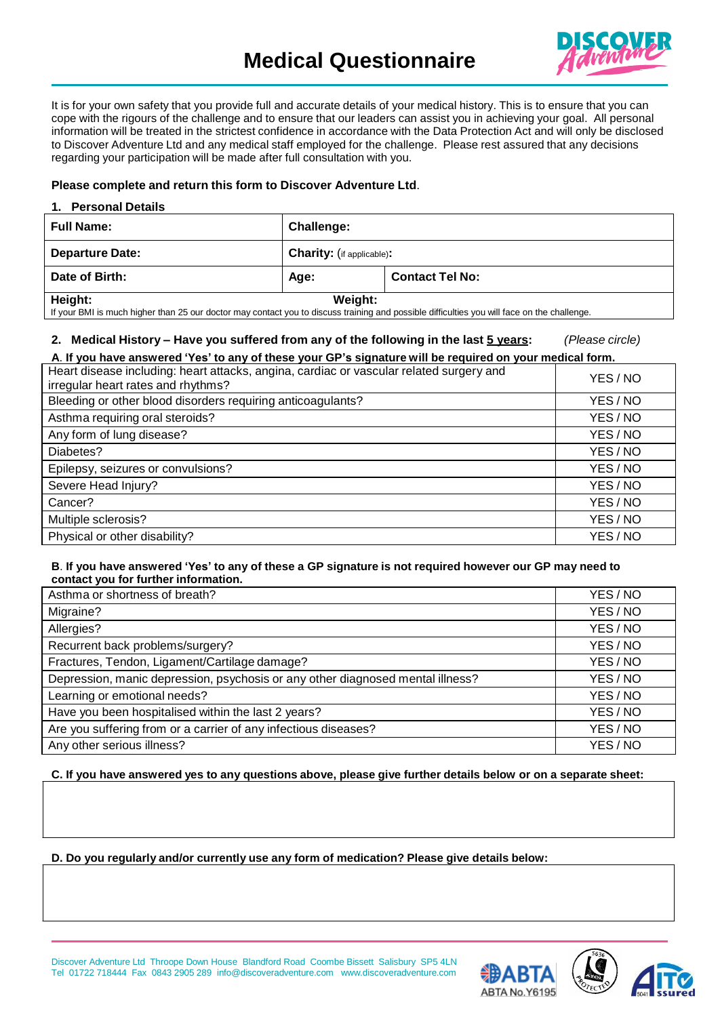

It is for your own safety that you provide full and accurate details of your medical history. This is to ensure that you can cope with the rigours of the challenge and to ensure that our leaders can assist you in achieving your goal. All personal information will be treated in the strictest confidence in accordance with the Data Protection Act and will only be disclosed to Discover Adventure Ltd and any medical staff employed for the challenge. Please rest assured that any decisions regarding your participation will be made after full consultation with you.

## **Please complete and return this form to Discover Adventure Ltd**.

#### **1. Personal Details**

| <b>Full Name:</b>                                                                                                                                     | Challenge:                       |                        |
|-------------------------------------------------------------------------------------------------------------------------------------------------------|----------------------------------|------------------------|
| <b>Departure Date:</b>                                                                                                                                | <b>Charity:</b> (if applicable): |                        |
| Date of Birth:                                                                                                                                        | Age:                             | <b>Contact Tel No:</b> |
| Height:<br>If your PMI is much bigher than 25 our dector may contect you to discuss training and pessible difficulties you will face on the challenge | Weight:                          |                        |

contact you to discuss training and poss

# **2. Medical History – Have you suffered from any of the following in the last 5 years:** *(Please circle)*

| A. If you have answered 'Yes' to any of these your GP's signature will be required on your medical form.                      |          |  |
|-------------------------------------------------------------------------------------------------------------------------------|----------|--|
| Heart disease including: heart attacks, angina, cardiac or vascular related surgery and<br>irregular heart rates and rhythms? | YES/NO   |  |
| Bleeding or other blood disorders requiring anticoagulants?                                                                   | YES/NO   |  |
| Asthma requiring oral steroids?                                                                                               | YES/NO   |  |
| Any form of lung disease?                                                                                                     | YES/NO   |  |
| Diabetes?                                                                                                                     | YES/NO   |  |
| Epilepsy, seizures or convulsions?                                                                                            | YES / NO |  |
| Severe Head Injury?                                                                                                           | YES/NO   |  |
| Cancer?                                                                                                                       | YES/NO   |  |
| Multiple sclerosis?                                                                                                           | YES/NO   |  |
| Physical or other disability?                                                                                                 | YES/NO   |  |

### B. If you have answered 'Yes' to any of these a GP signature is not required however our GP may need to **contact you for further information.**

| Asthma or shortness of breath?                                                 | YES/NO   |
|--------------------------------------------------------------------------------|----------|
| Migraine?                                                                      | YES / NO |
| Allergies?                                                                     | YES/NO   |
| Recurrent back problems/surgery?                                               | YES / NO |
| Fractures, Tendon, Ligament/Cartilage damage?                                  | YES / NO |
| Depression, manic depression, psychosis or any other diagnosed mental illness? | YES/NO   |
| Learning or emotional needs?                                                   | YES/NO   |
| Have you been hospitalised within the last 2 years?                            | YES/NO   |
| Are you suffering from or a carrier of any infectious diseases?                | YES / NO |
| Any other serious illness?                                                     | YES / NO |

#### C. If you have answered yes to any questions above, please give further details below or on a separate sheet:

### **D. Do you regularly and/or currently use any form of medication? Please give details below:**





Discover Adventure Ltd Throope Down House Blandford Road Coombe Bissett Salisbury SP5 4LN Tel 01722 718444 Fax 0843 2905 289 [info@discoveradventure.com www.discoveradventure.com](mailto:info@discoveradventure.com)